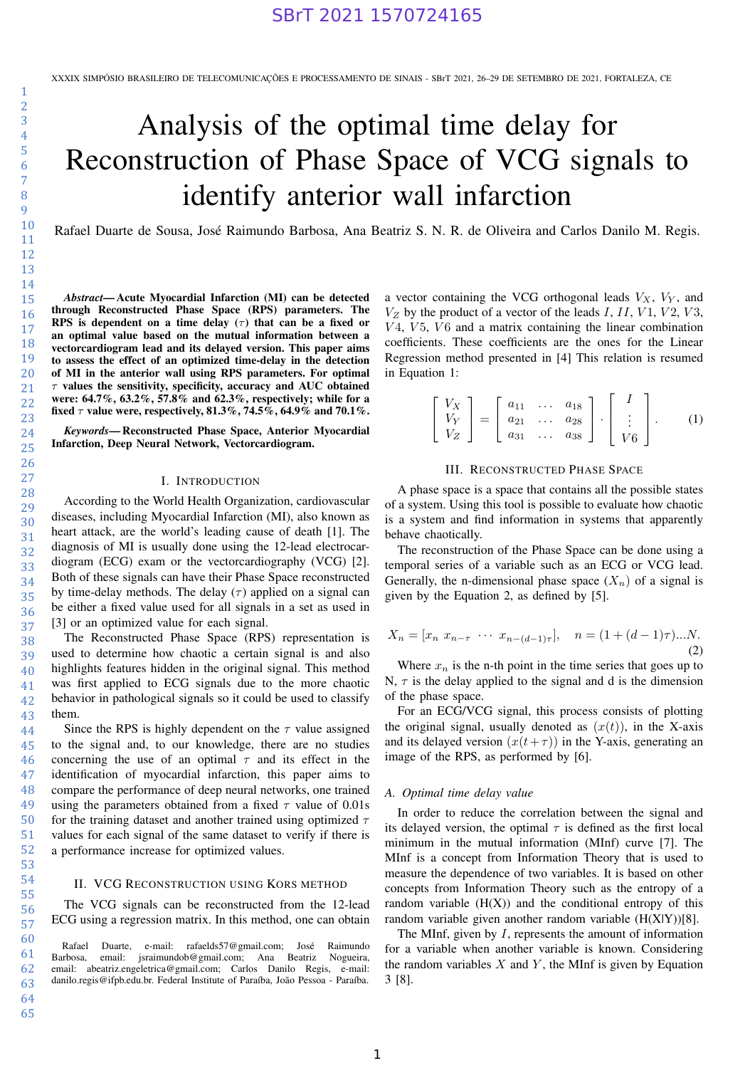# Analysis of the optimal time delay for Reconstruction of Phase Space of VCG signals to identify anterior wall infarction

Rafael Duarte de Sousa, José Raimundo Barbosa, Ana Beatriz S. N. R. de Oliveira and Carlos Danilo M. Regis.

*Abstract*— Acute Myocardial Infarction (MI) can be detected through Reconstructed Phase Space (RPS) parameters. The RPS is dependent on a time delay ( $\tau$ ) that can be a fixed or an optimal value based on the mutual information between a vectorcardiogram lead and its delayed version. This paper aims to assess the effect of an optimized time-delay in the detection of MI in the anterior wall using RPS parameters. For optimal  $\tau$  values the sensitivity, specificity, accuracy and AUC obtained were: 64.7%, 63.2%, 57.8% and 62.3%, respectively; while for a fixed  $\tau$  value were, respectively, 81.3%, 74.5%, 64.9% and 70.1%.

*Keywords*— Reconstructed Phase Space, Anterior Myocardial Infarction, Deep Neural Network, Vectorcardiogram.

# I. INTRODUCTION

According to the World Health Organization, cardiovascular diseases, including Myocardial Infarction (MI), also known as heart attack, are the world's leading cause of death [1]. The diagnosis of MI is usually done using the 12-lead electrocardiogram (ECG) exam or the vectorcardiography (VCG) [2]. Both of these signals can have their Phase Space reconstructed by time-delay methods. The delay  $(\tau)$  applied on a signal can be either a fixed value used for all signals in a set as used in [3] or an optimized value for each signal.

The Reconstructed Phase Space (RPS) representation is used to determine how chaotic a certain signal is and also highlights features hidden in the original signal. This method was first applied to ECG signals due to the more chaotic behavior in pathological signals so it could be used to classify them.

Since the RPS is highly dependent on the  $\tau$  value assigned to the signal and, to our knowledge, there are no studies concerning the use of an optimal  $\tau$  and its effect in the identification of myocardial infarction, this paper aims to compare the performance of deep neural networks, one trained using the parameters obtained from a fixed  $\tau$  value of 0.01s for the training dataset and another trained using optimized  $\tau$ values for each signal of the same dataset to verify if there is a performance increase for optimized values.

# II. VCG RECONSTRUCTION USING KORS METHOD

The VCG signals can be reconstructed from the 12-lead ECG using a regression matrix. In this method, one can obtain

a vector containing the VCG orthogonal leads  $V_X$ ,  $V_Y$ , and  $V_Z$  by the product of a vector of the leads I, II, V1, V2, V3,  $V4$ ,  $V5$ ,  $V6$  and a matrix containing the linear combination coefficients. These coefficients are the ones for the Linear Regression method presented in [4] This relation is resumed in Equation 1:

$$
\begin{bmatrix}\nV_X \\
V_Y \\
V_Z\n\end{bmatrix} = \begin{bmatrix}\na_{11} & \dots & a_{18} \\
a_{21} & \dots & a_{28} \\
a_{31} & \dots & a_{38}\n\end{bmatrix} \cdot \begin{bmatrix}\nI \\
\vdots \\
V6\n\end{bmatrix}.
$$
\n(1)

# III. RECONSTRUCTED PHASE SPACE

A phase space is a space that contains all the possible states of a system. Using this tool is possible to evaluate how chaotic is a system and find information in systems that apparently behave chaotically.

The reconstruction of the Phase Space can be done using a temporal series of a variable such as an ECG or VCG lead. Generally, the n-dimensional phase space  $(X_n)$  of a signal is given by the Equation 2, as defined by [5].

$$
X_n = [x_n \ x_{n-\tau} \ \cdots \ x_{n-(d-1)\tau}], \quad n = (1 + (d-1)\tau)...N.
$$
\n(2)

Where  $x_n$  is the n-th point in the time series that goes up to N,  $\tau$  is the delay applied to the signal and d is the dimension of the phase space.

For an ECG/VCG signal, this process consists of plotting the original signal, usually denoted as  $(x(t))$ , in the X-axis and its delayed version  $(x(t+\tau))$  in the Y-axis, generating an image of the RPS, as performed by [6].

## *A. Optimal time delay value*

In order to reduce the correlation between the signal and its delayed version, the optimal  $\tau$  is defined as the first local minimum in the mutual information (MInf) curve [7]. The MInf is a concept from Information Theory that is used to measure the dependence of two variables. It is based on other concepts from Information Theory such as the entropy of a random variable  $(H(X))$  and the conditional entropy of this random variable given another random variable (H(X|Y))[8].

The MInf, given by I, represents the amount of information for a variable when another variable is known. Considering the random variables  $X$  and  $Y$ , the MInf is given by Equation 3 [8].

65

Rafael Duarte, e-mail: rafaelds57@gmail.com; José Raimundo<br>Barbosa, email: jsraimundob@gmail.com; Ana Beatriz Nogueira, email: jsraimundob@gmail.com; Ana Beatriz email: abeatriz.engeletrica@gmail.com; Carlos Danilo Regis, e-mail: danilo.regis@ifpb.edu.br. Federal Institute of Paraíba, João Pessoa - Paraíba.